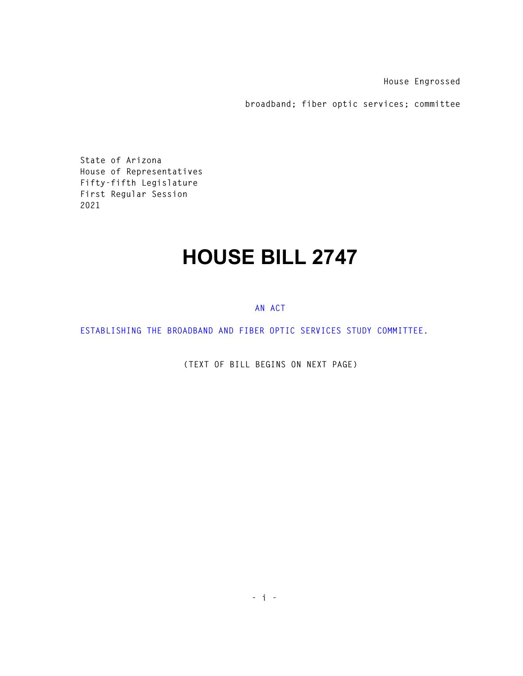**House Engrossed** 

**broadband; fiber optic services; committee** 

**State of Arizona House of Representatives Fifty-fifth Legislature First Regular Session 2021** 

## **HOUSE BILL 2747**

## **AN ACT**

**ESTABLISHING THE BROADBAND AND FIBER OPTIC SERVICES STUDY COMMITTEE.** 

**(TEXT OF BILL BEGINS ON NEXT PAGE)**